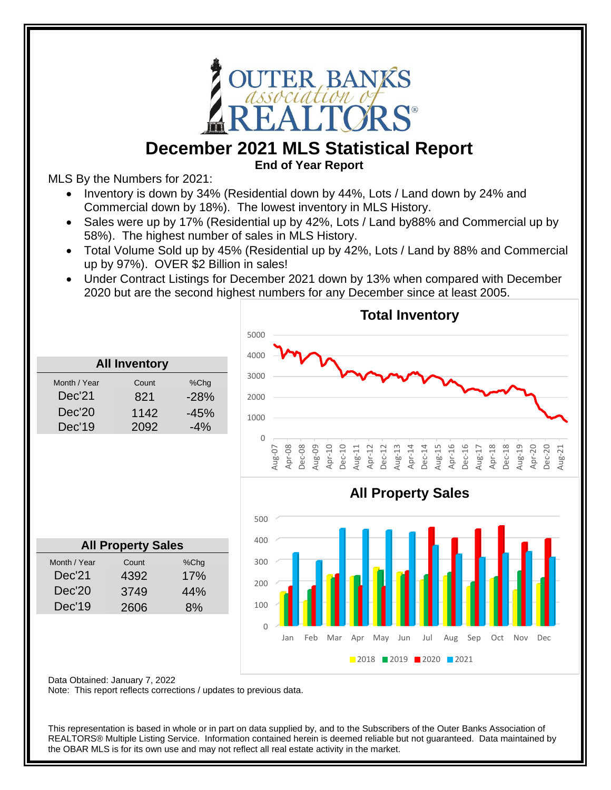

## **December 2021 MLS Statistical Report**

**End of Year Report**

MLS By the Numbers for 2021:

- Inventory is down by 34% (Residential down by 44%, Lots / Land down by 24% and Commercial down by 18%). The lowest inventory in MLS History.
- Sales were up by 17% (Residential up by 42%, Lots / Land by 88% and Commercial up by 58%). The highest number of sales in MLS History.
- Total Volume Sold up by 45% (Residential up by 42%, Lots / Land by 88% and Commercial up by 97%). OVER \$2 Billion in sales!
- Under Contract Listings for December 2021 down by 13% when compared with December 2020 but are the second highest numbers for any December since at least 2005.



Data Obtained: January 7, 2022

Note: This report reflects corrections / updates to previous data.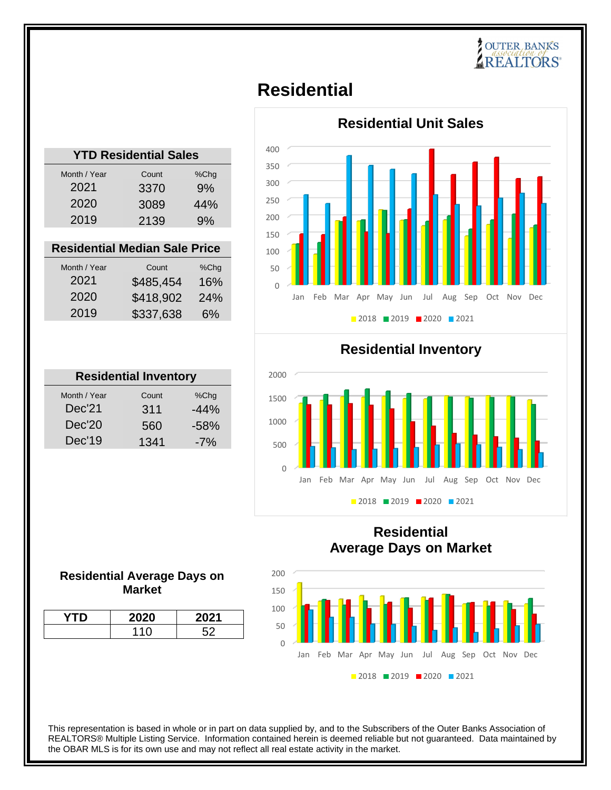## **POUTER BANKS**

## **Residential**

| <b>YTD Residential Sales</b> |       |      |  |
|------------------------------|-------|------|--|
| Month / Year                 | Count | %Chq |  |
| 2021                         | 3370  | 9%   |  |
| 2020                         | 3089  | 44%  |  |
| 2019                         | 2139  | 9%   |  |
|                              |       |      |  |

#### **Residential Median Sale Price**

| Month / Year | Count     | %Chq |
|--------------|-----------|------|
| 2021         | \$485,454 | 16%  |
| 2020         | \$418,902 | 24%  |
| 2019         | \$337,638 | 6%   |

| <b>Residential Inventory</b> |        |  |  |
|------------------------------|--------|--|--|
| Count                        | %Chg   |  |  |
| 311                          | $-44%$ |  |  |
| 560                          | $-58%$ |  |  |
| 1341                         | $-7%$  |  |  |
|                              |        |  |  |



**Residential Inventory**



### **Residential Average Days on Market**



#### **Residential Average Days on Market**

| ገ20 | 2021 |
|-----|------|
|     |      |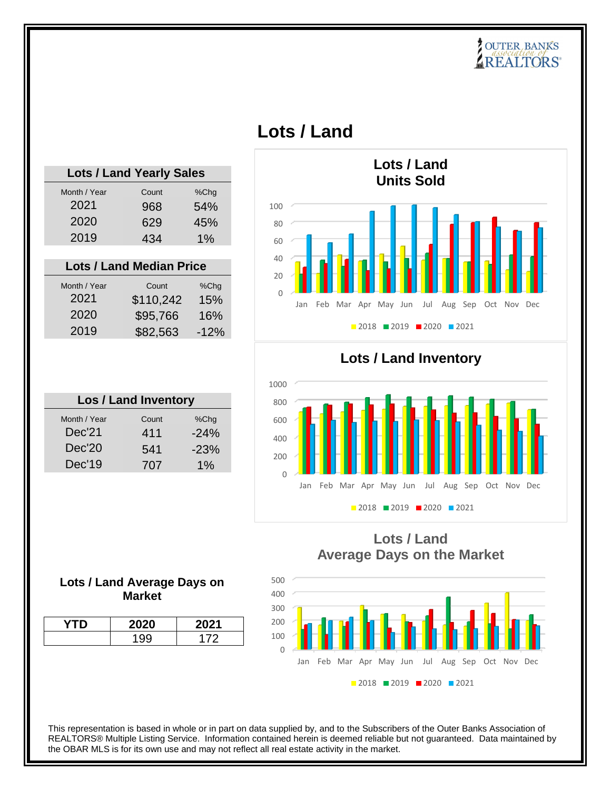## **POUTER BANKS**

## **Lots / Land**

| <b>Lots / Land Yearly Sales</b> |       |      |
|---------------------------------|-------|------|
| Month / Year                    | Count | %Chg |
| 2021                            | 968   | 54%  |
| 2020                            | 629   | 45%  |
| 2019                            | 434   | 1%   |
|                                 |       |      |
| <b>Lots / Land Median Price</b> |       |      |

| Month / Year<br>2021 | Count<br>\$110,242 | %Chq<br>15% |
|----------------------|--------------------|-------------|
| 2020                 | \$95,766           | 16%         |
| 2019                 | \$82,563           | $-12%$      |

| <b>Los / Land Inventory</b> |       |        |  |
|-----------------------------|-------|--------|--|
| Month / Year                | Count | %Chq   |  |
| Dec'21                      | 411   | $-24%$ |  |
| Dec'20                      | 541   | $-23%$ |  |
| Dec'19                      | 707   | $1\%$  |  |



**Lots / Land Inventory**



#### **Lots / Land Average Days on Market**

| /TD | <b>2020</b> | 2021 |
|-----|-------------|------|
|     | $\sim$      | 172  |

### **Lots / Land Average Days on the Market**

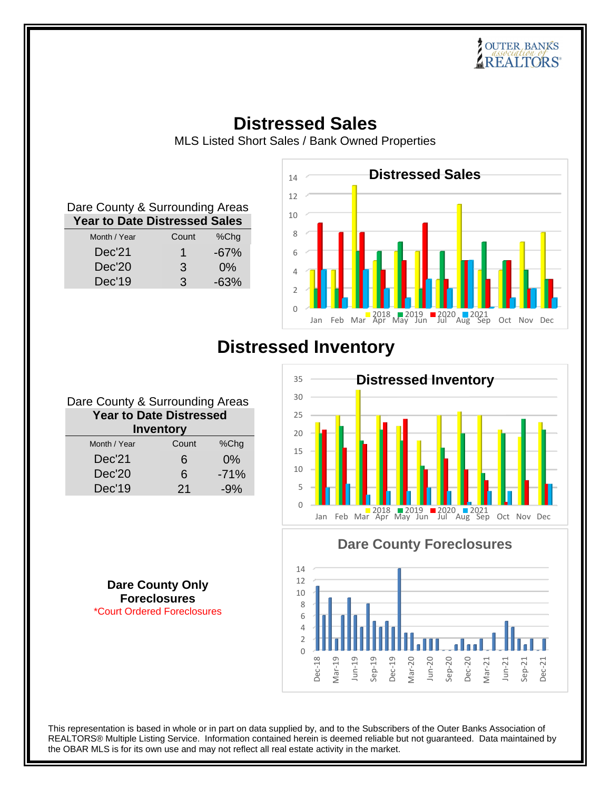# **COUTER BANKS**<br>*Association of*<br>REALTORS

## **Distressed Sales**

MLS Listed Short Sales / Bank Owned Properties

| Dare County & Surrounding Areas      |       |        |
|--------------------------------------|-------|--------|
| <b>Year to Date Distressed Sales</b> |       |        |
| Month / Year                         | Count | %Chg   |
| Dec'21                               | 1     | $-67%$ |
| Dec'20                               | 3     | $0\%$  |
| Dec'19                               | 3     | $-63%$ |



## **Distressed Inventory**



**Dare County Foreclosures**



**Dare County Only Foreclosures** \*Court Ordered Foreclosures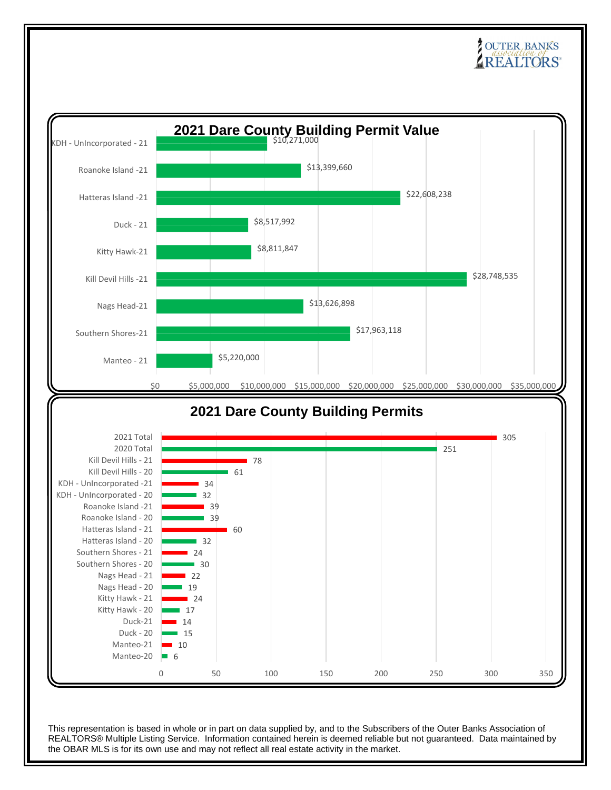## **POUTER BANKS**

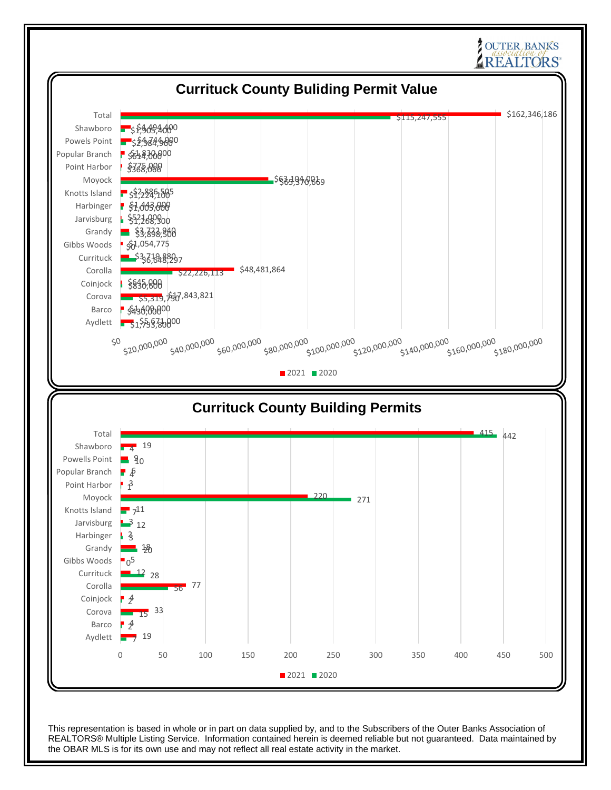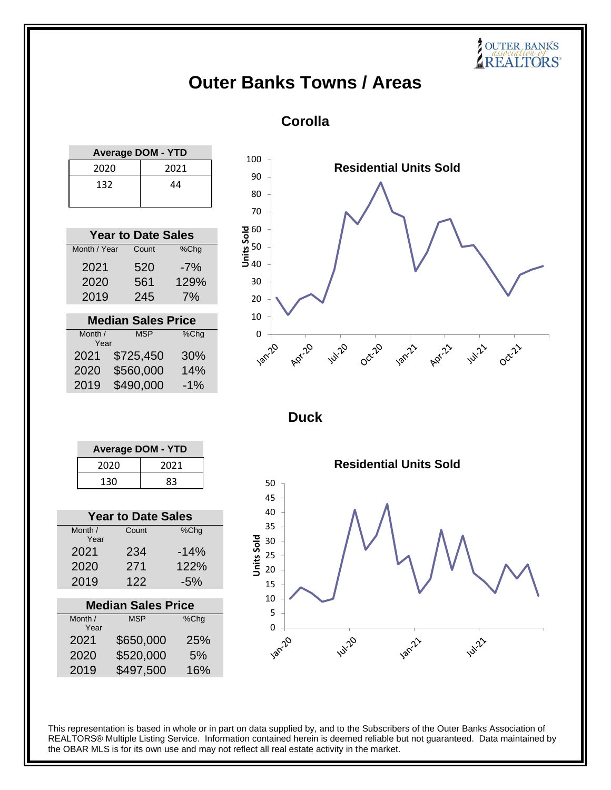## **Outer Banks Towns / Areas**

### **Corolla**

| <b>Average DOM - YTD</b> |      |  |
|--------------------------|------|--|
| 2020                     | 2021 |  |
| 132                      | 44   |  |

| <b>Year to Date Sales</b> |       |         |
|---------------------------|-------|---------|
| Month / Year              | Count | $%$ Chg |
| 2021                      | 520   | -7%     |
| 2020                      | 561   | 129%    |
| 2019                      | 245   | 7%      |

| <b>Median Sales Price</b> |            |       |
|---------------------------|------------|-------|
| Month /                   | <b>MSP</b> | %Chg  |
| Year                      |            |       |
| 2021                      | \$725,450  | 30%   |
| 2020                      | \$560,000  | 14%   |
| 2019                      | \$490,000  | $-1%$ |



**SOUTER BANKS** 

**Duck**

| <b>Average DOM - YTD</b> |      |  |
|--------------------------|------|--|
| 2020                     | 2021 |  |
| 83<br>130                |      |  |

| <b>Year to Date Sales</b> |        |  |  |
|---------------------------|--------|--|--|
| Count                     | %Chg   |  |  |
| 234                       | $-14%$ |  |  |
| 271                       | 122%   |  |  |
| 122                       | $-5%$  |  |  |
|                           |        |  |  |

| <b>Median Sales Price</b> |            |      |
|---------------------------|------------|------|
| Month /<br>Year           | <b>MSP</b> | %Chg |
| 2021                      | \$650,000  | 25%  |
| 2020                      | \$520,000  | 5%   |
| 2019                      | \$497,500  | 16%  |

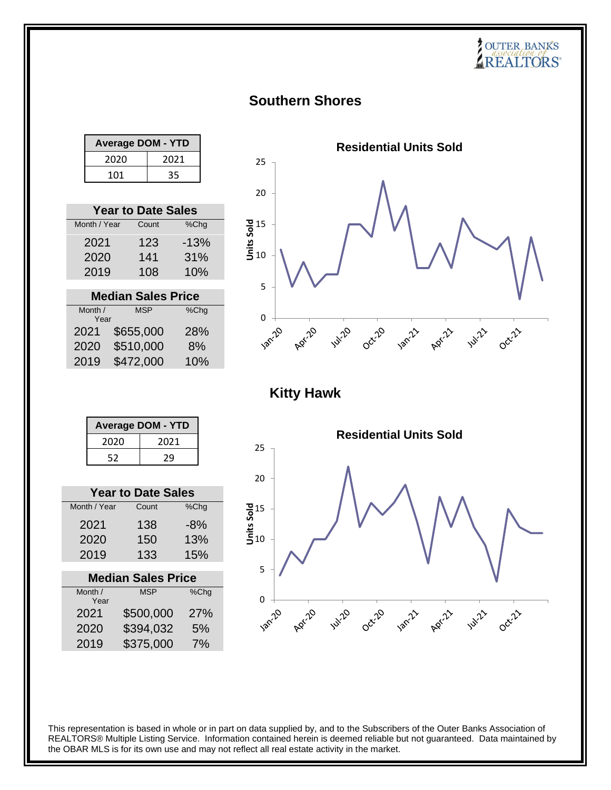## **Southern Shores**

| <b>Average DOM - YTD</b> |      |  |
|--------------------------|------|--|
| 2020                     | 2021 |  |
| 35<br>101                |      |  |

|                           | <b>Year to Date Sales</b> |        |
|---------------------------|---------------------------|--------|
| Month / Year              | Count                     | %Chg   |
| 2021                      | 123                       | $-13%$ |
| 2020                      | 141                       | 31%    |
| 2019                      | 108                       | 10%    |
|                           |                           |        |
| <b>Median Sales Price</b> |                           |        |
| Month /<br>Year           | <b>MSP</b>                | %Chg   |
| 2021                      | \$655,000                 | 28%    |
| 2020                      | \$510,000                 | 8%     |



**COUTER BANKS** 

| <b>Average DOM - YTD</b> |      |  |
|--------------------------|------|--|
| 2020                     | 2021 |  |
| 52                       | 29   |  |

2019 \$472,000 10%

| <b>Year to Date Sales</b> |       |       |  |
|---------------------------|-------|-------|--|
| Month / Year              | Count | %Chg  |  |
| 2021                      | 138   | $-8%$ |  |
| 2020                      | 150   | 13%   |  |
| 2019                      | 133   | 15%   |  |

| <b>Median Sales Price</b> |            |      |
|---------------------------|------------|------|
| Month /<br>Year           | <b>MSP</b> | %Chg |
| 2021                      | \$500,000  | 27%  |
| 2020                      | \$394,032  | 5%   |
| 2019                      | \$375,000  | 7%   |
|                           |            |      |

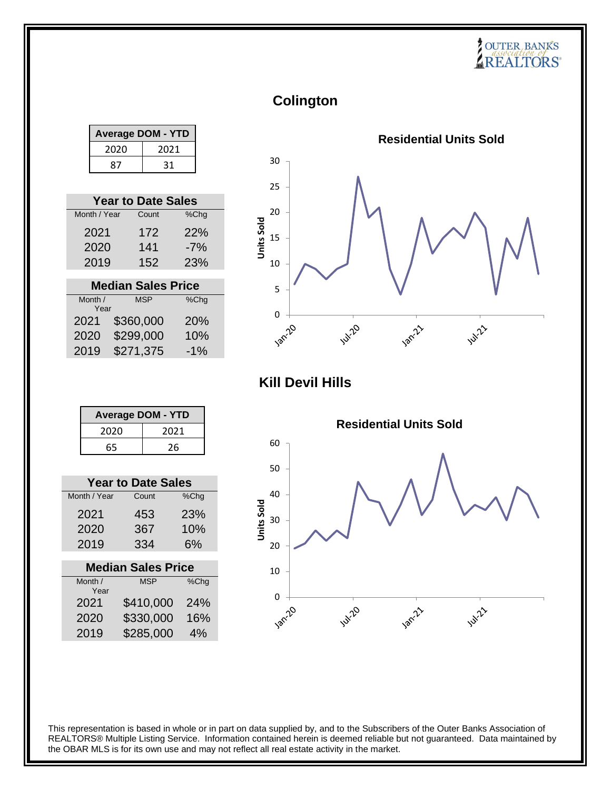# **COUTER BANKS**

**Colington**

| <b>Average DOM - YTD</b> |      |  |
|--------------------------|------|--|
| 2020                     | 2021 |  |
| 87                       | 31   |  |

| <b>Year to Date Sales</b> |       |            |
|---------------------------|-------|------------|
| Month / Year              | Count | %Chg       |
| 2021                      | 172   | 22%        |
| 2020                      | 141   | $-7%$      |
| 2019                      | 152   | <b>23%</b> |
|                           |       |            |

| <b>Median Sales Price</b> |            |         |
|---------------------------|------------|---------|
| Month /                   | <b>MSP</b> | $%$ Chg |
| Year                      |            |         |
| 2021                      | \$360,000  | 20%     |
| 2020                      | \$299,000  | 10%     |
| 2019                      | \$271,375  | $-1%$   |



**Kill Devil Hills**

| <b>Average DOM - YTD</b> |      |  |  |
|--------------------------|------|--|--|
| 2020                     | 2021 |  |  |
| 65                       | 26   |  |  |

| <b>Year to Date Sales</b> |       |                 |  |  |
|---------------------------|-------|-----------------|--|--|
| Month / Year              | Count | %Chq            |  |  |
| 2021                      | 453   | 23 <sup>%</sup> |  |  |
| 2020                      | 367   | 10%             |  |  |
| 2019                      | 334   | 6%              |  |  |
|                           |       |                 |  |  |

| <b>Median Sales Price</b> |            |      |  |
|---------------------------|------------|------|--|
| Month /                   | <b>MSP</b> | %Chg |  |
| Year                      |            |      |  |
| 2021                      | \$410,000  | 24%  |  |
| 2020                      | \$330,000  | 16%  |  |
| 2019                      | \$285,000  | 4%   |  |
|                           |            |      |  |

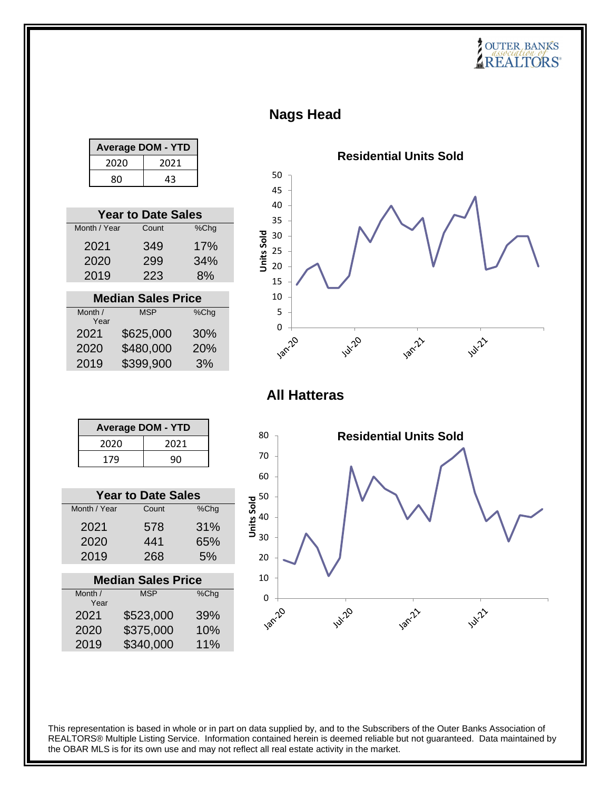# **COUTER BANKS**

### **Nags Head**

|              |              | <b>Average DOM - YTD</b>  |            |                                                        |                     |             | <b>Residential Units Sold</b> |               |
|--------------|--------------|---------------------------|------------|--------------------------------------------------------|---------------------|-------------|-------------------------------|---------------|
|              | 2020         | 2021                      |            |                                                        |                     |             |                               |               |
|              | 80           | 43                        |            | 50                                                     |                     |             |                               |               |
|              |              |                           |            | 45                                                     |                     |             |                               |               |
|              |              | <b>Year to Date Sales</b> |            | 40                                                     |                     |             |                               |               |
|              | Month / Year | Count                     | %Chg       | 35<br>30                                               |                     |             |                               |               |
|              | 2021         | 349                       | 17%        | Units Sold<br>25                                       |                     |             |                               |               |
|              | 2020         | 299                       | 34%        | 20                                                     |                     |             |                               |               |
|              | 2019         | 223                       | 8%         | 15                                                     |                     |             |                               |               |
|              |              | <b>Median Sales Price</b> |            | 10                                                     |                     |             |                               |               |
| Month /      |              | <b>MSP</b>                | %Chg       | 5                                                      |                     |             |                               |               |
|              | Year         |                           |            | $\mathbf 0$                                            |                     |             |                               |               |
| 2021<br>2020 |              | \$625,000<br>\$480,000    | 30%<br>20% |                                                        | Jan-20              | Jul-20      | Jan-211                       | <b>Jul</b> 22 |
| 2019         |              | \$399,900                 | 3%         |                                                        |                     |             |                               |               |
|              |              |                           |            |                                                        |                     |             |                               |               |
|              |              |                           |            |                                                        | <b>All Hatteras</b> |             |                               |               |
|              |              |                           |            |                                                        |                     |             |                               |               |
|              |              | <b>Average DOM - YTD</b>  |            |                                                        |                     |             |                               |               |
|              | 2020         | 2021                      |            | 80                                                     |                     |             | <b>Residential Units Sold</b> |               |
|              | 179          | 90                        |            | 70                                                     |                     |             |                               |               |
|              |              |                           |            | 60                                                     |                     |             |                               |               |
|              |              | <b>Year to Date Sales</b> |            |                                                        |                     |             |                               |               |
| Month / Year |              | Count                     | %Chg       | $\frac{1}{2}$ 50<br>$\frac{1}{2}$ 40<br>$\frac{1}{30}$ |                     |             |                               |               |
| 2021         |              | 578                       | 31%        |                                                        |                     |             |                               |               |
| 2020         |              | 441                       | 65%        |                                                        |                     |             |                               |               |
| 2019         |              | 268                       | 5%         | 20                                                     |                     |             |                               |               |
|              |              | <b>Median Sales Price</b> |            | 10                                                     |                     |             |                               |               |
| Month /      |              | <b>MSP</b>                | %Chg       | $\mathbf 0$                                            |                     |             |                               |               |
|              | Year         |                           |            |                                                        |                     |             |                               |               |
| 2021<br>2020 |              | \$523,000<br>\$375,000    | 39%<br>10% | <b>Jan-20</b>                                          |                     | <b>Autr</b> | Jan-Z.                        | <b>WILLES</b> |
| 2019         |              | \$340,000                 | 11%        |                                                        |                     |             |                               |               |
|              |              |                           |            |                                                        |                     |             |                               |               |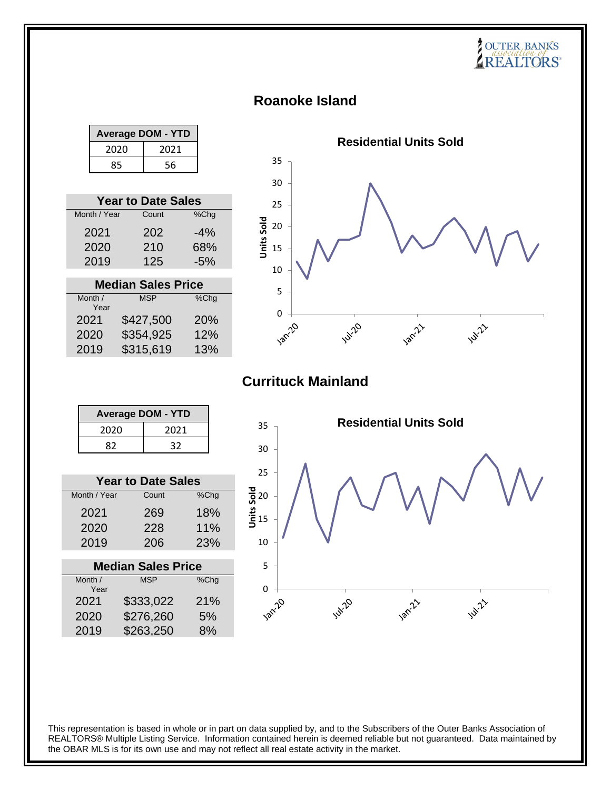### **Roanoke Island**

| <b>Average DOM - YTD</b> |      |  |  |
|--------------------------|------|--|--|
| 2020                     | 2021 |  |  |
| 56<br>85                 |      |  |  |

| <b>Year to Date Sales</b> |       |        |  |
|---------------------------|-------|--------|--|
| Month / Year              | Count | %Chg   |  |
| 2021                      | 202   | $-4\%$ |  |
| 2020                      | 210   | 68%    |  |
| 2019                      | 125   | $-5%$  |  |

| <b>Median Sales Price</b> |            |      |  |
|---------------------------|------------|------|--|
| Month /                   | <b>MSP</b> | %Chg |  |
| Year                      |            |      |  |
| 2021                      | \$427,500  | 20%  |  |
| 2020                      | \$354,925  | 12%  |  |
| 2019                      | \$315,619  | 13%  |  |



**SOUTER BANKS** 

### **Currituck Mainland**

| <b>Average DOM - YTD</b> |      |  |
|--------------------------|------|--|
| 2020                     | 2021 |  |
| 82                       | 32   |  |

| <b>Year to Date Sales</b> |       |      |  |
|---------------------------|-------|------|--|
| Month / Year              | Count | %Chg |  |
| 2021                      | 269   | 18%  |  |
| 2020                      | 228   | 11%  |  |
| 2019                      | 206   | 23%  |  |

| <b>Median Sales Price</b> |            |      |  |
|---------------------------|------------|------|--|
| Month /                   | <b>MSP</b> | %Chg |  |
| Year                      |            |      |  |
| 2021                      | \$333,022  | 21%  |  |
| 2020                      | \$276,260  | 5%   |  |
| 2019                      | \$263,250  | 8%   |  |
|                           |            |      |  |